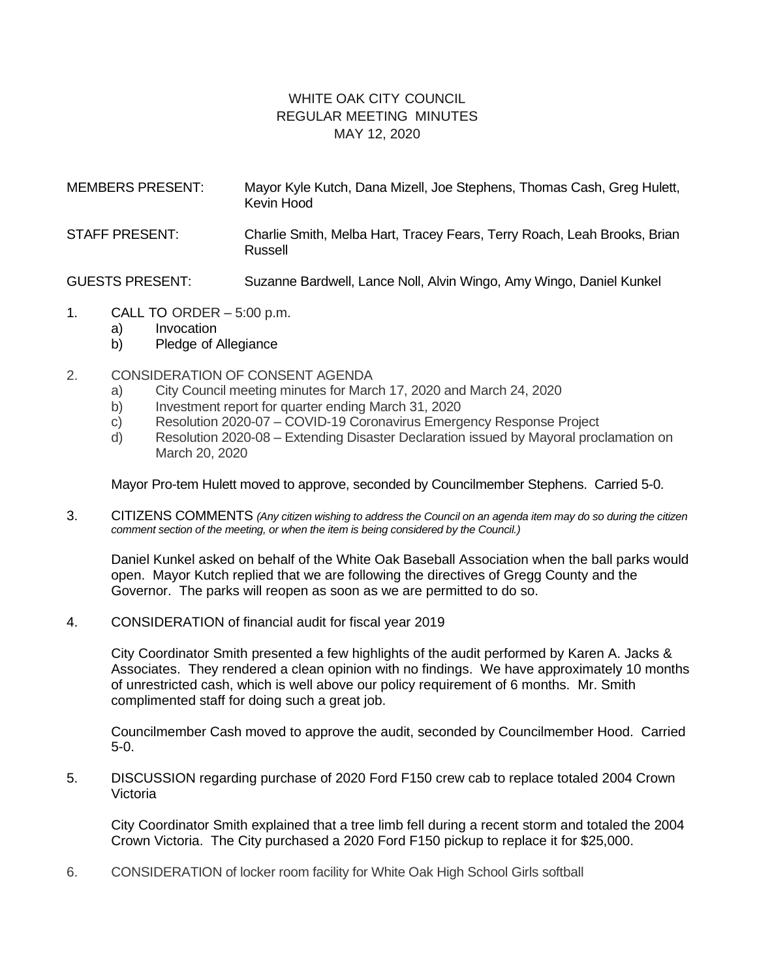## WHITE OAK CITY COUNCIL REGULAR MEETING MINUTES MAY 12, 2020

| <b>MEMBERS PRESENT:</b> | Mayor Kyle Kutch, Dana Mizell, Joe Stephens, Thomas Cash, Greg Hulett,<br>Kevin Hood |
|-------------------------|--------------------------------------------------------------------------------------|
| <b>STAFF PRESENT:</b>   | Charlie Smith, Melba Hart, Tracey Fears, Terry Roach, Leah Brooks, Brian<br>Russell  |
| <b>GUESTS PRESENT:</b>  | Suzanne Bardwell, Lance Noll, Alvin Wingo, Amy Wingo, Daniel Kunkel                  |

- 1. CALL TO ORDER  $-5:00$  p.m.
	- a) Invocation
	- b) Pledge of Allegiance
- 2. CONSIDERATION OF CONSENT AGENDA
	- a) City Council meeting minutes for March 17, 2020 and March 24, 2020
	- b) Investment report for quarter ending March 31, 2020
	- c) Resolution 2020-07 COVID-19 Coronavirus Emergency Response Project
	- d) Resolution 2020-08 Extending Disaster Declaration issued by Mayoral proclamation on March 20, 2020

Mayor Pro-tem Hulett moved to approve, seconded by Councilmember Stephens. Carried 5-0.

3. CITIZENS COMMENTS *(Any citizen wishing to address the Council on an agenda item may do so during the citizen comment section of the meeting, or when the item is being considered by the Council.)*

Daniel Kunkel asked on behalf of the White Oak Baseball Association when the ball parks would open. Mayor Kutch replied that we are following the directives of Gregg County and the Governor. The parks will reopen as soon as we are permitted to do so.

4. CONSIDERATION of financial audit for fiscal year 2019

City Coordinator Smith presented a few highlights of the audit performed by Karen A. Jacks & Associates. They rendered a clean opinion with no findings. We have approximately 10 months of unrestricted cash, which is well above our policy requirement of 6 months. Mr. Smith complimented staff for doing such a great job.

Councilmember Cash moved to approve the audit, seconded by Councilmember Hood. Carried 5-0.

5. DISCUSSION regarding purchase of 2020 Ford F150 crew cab to replace totaled 2004 Crown Victoria

City Coordinator Smith explained that a tree limb fell during a recent storm and totaled the 2004 Crown Victoria. The City purchased a 2020 Ford F150 pickup to replace it for \$25,000.

6. CONSIDERATION of locker room facility for White Oak High School Girls softball